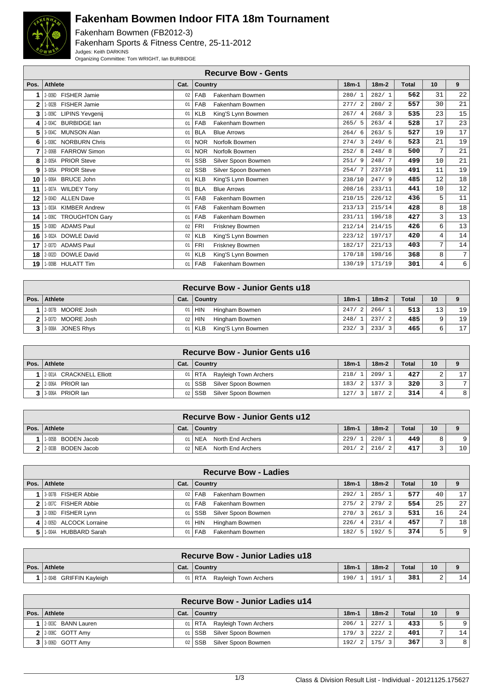

## **Fakenham Bowmen Indoor FITA 18m Tournament**

Fakenham Bowmen (FB2012-3) Fakenham Sports & Fitness Centre, 25-11-2012 Judges: Keith DARKINS Organizing Committee: Tom WRIGHT, Ian BURBIDGE

|      | <b>Recurve Bow - Gents</b>   |      |            |                     |         |         |       |    |    |  |  |
|------|------------------------------|------|------------|---------------------|---------|---------|-------|----|----|--|--|
| Pos. | <b>Athlete</b>               | Cat. | Country    |                     | $18m-1$ | $18m-2$ | Total | 10 | 9  |  |  |
|      | 2-009D FISHER Jamie          | 02   | FAB        | Fakenham Bowmen     | 280/1   | 282/1   | 562   | 31 | 22 |  |  |
|      | 1-002B FISHER Jamie          | 01   | FAB        | Fakenham Bowmen     | 277/2   | 280/2   | 557   | 30 | 21 |  |  |
| 3    | 1-009C LIPINS Yevgenij       | 01   | <b>KLB</b> | King'S Lynn Bowmen  | 267/4   | 268/3   | 535   | 23 | 15 |  |  |
|      | 2-004C BURBIDGE lan          | 01   | FAB        | Fakenham Bowmen     | 265/5   | 263/4   | 528   | 17 | 23 |  |  |
| 5    | 3-004C MUNSON Alan           | 01   | <b>BLA</b> | <b>Blue Arrows</b>  | 264/6   | 263/5   | 527   | 19 | 17 |  |  |
|      | 1-008C NORBURN Chris         | 01   | <b>NOR</b> | Norfolk Bowmen      | 274/3   | 249/6   | 523   | 21 | 19 |  |  |
|      | 2-006B FARROW Simon          | 01   | <b>NOR</b> | Norfolk Bowmen      | 252/8   | 248/8   | 500   | 7  | 21 |  |  |
|      | 2-005A PRIOR Steve           | 01   | <b>SSB</b> | Silver Spoon Bowmen | 251/9   | 248/7   | 499   | 10 | 21 |  |  |
| 9    | 3-005A PRIOR Steve           | 02   | <b>SSB</b> | Silver Spoon Bowmen | 254/7   | 237/10  | 491   | 11 | 19 |  |  |
| 10   | 1-006A BRUCE John            | 01   | <b>KLB</b> | King'S Lynn Bowmen  | 238/10  | 247/9   | 485   | 12 | 18 |  |  |
| 11   | 1-007A WILDEY Tony           | 01   | <b>BLA</b> | <b>Blue Arrows</b>  | 208/16  | 233/11  | 441   | 10 | 12 |  |  |
| 12   | 3-004D ALLEN Dave            | 01   | FAB        | Fakenham Bowmen     | 210/15  | 226/12  | 436   | 5  | 11 |  |  |
| 13   | 1-003A KIMBER Andrew         | 01   | FAB        | Fakenham Bowmen     | 213/13  | 215/14  | 428   | 8  | 18 |  |  |
| 14   | 1-006C TROUGHTON Gary        | 01   | FAB        | Fakenham Bowmen     | 231/11  | 196/18  | 427   | 3  | 13 |  |  |
| 15   | 3-008D ADAMS Paul            | 02   | <b>FRI</b> | Friskney Bowmen     | 212/14  | 214/15  | 426   | 6  | 13 |  |  |
| 16   | <b>DOWLE David</b><br>3-002A | 02   | <b>KLB</b> | King'S Lynn Bowmen  | 223/12  | 197/17  | 420   | 4  | 14 |  |  |
| 17   | 2-007D ADAMS Paul            | 01   | <b>FRI</b> | Friskney Bowmen     | 182/17  | 221/13  | 403   | 7  | 14 |  |  |
| 18   | <b>DOWLE David</b><br>2-002D | 01   | <b>KLB</b> | King'S Lynn Bowmen  | 170/18  | 198/16  | 368   | 8  | 7  |  |  |
| 19   | 1-009B HULATT Tim            | 01   | FAB        | Fakenham Bowmen     | 130/19  | 171/19  | 301   | 4  | 6  |  |  |

| <b>Recurve Bow - Junior Gents u18</b> |      |                                |           |         |              |    |                 |  |  |  |
|---------------------------------------|------|--------------------------------|-----------|---------|--------------|----|-----------------|--|--|--|
| Pos.   Athlete                        | Cat. | ∣ Country                      | $18m - 1$ | $18m-2$ | <b>Total</b> | 10 |                 |  |  |  |
| 1 2-007B MOORE Josh                   | 01'  | l Hin<br>Hingham Bowmen        | 247/2     | 266/1   | 513          | 13 | 19              |  |  |  |
| 2 3-007D MOORE Josh                   |      | 02 HIN<br>Hingham Bowmen       | 248/1     | 237/2   | 485          |    | 19              |  |  |  |
| 3 3-008A JONES Rhys                   |      | King'S Lynn Bowmen<br>01   KLB | 232/3     | 233/3   | 465          |    | 17 <sub>1</sub> |  |  |  |

| <b>Recurve Bow - Junior Gents u16</b> |      |                                |         |               |              |    |    |  |  |  |
|---------------------------------------|------|--------------------------------|---------|---------------|--------------|----|----|--|--|--|
| Pos.   Athlete                        | Cat. | ∣ Country                      | $18m-1$ | $18m-2$       | <b>Total</b> | 10 |    |  |  |  |
| 1 2001A CRACKNELL Elliott             |      | 01   RTA Rayleigh Town Archers | 218/1   | 209/1         | 427          |    | 17 |  |  |  |
| $2$ $2$ $006$ PRIOR $1$ an            |      | 01 SSB Silver Spoon Bowmen     |         | 183/2   137/3 | 320          |    | 7  |  |  |  |
| 3 3 3 006A PRIOR Ian                  |      | Silver Spoon Bowmen<br>02 SSB  | 127/3   | 187/2         | 314          |    | 8  |  |  |  |

| <b>Recurve Bow - Junior Gents u12</b> |  |                               |           |               |       |    |                 |  |  |  |
|---------------------------------------|--|-------------------------------|-----------|---------------|-------|----|-----------------|--|--|--|
| Pos.   Athlete                        |  | Cat.   Country                | $18m - 1$ | $18m-2$       | Total | 10 |                 |  |  |  |
| 1-005B BODEN Jacob                    |  | 01   NEA<br>North End Archers | 229/      | 220/          | 449   |    | $\alpha$        |  |  |  |
| $2$   2-003B BODEN Jacob              |  | 02   NEA<br>North End Archers |           | $201/2$ 216/2 | 417   |    | 10 <sup>1</sup> |  |  |  |

| <b>Recurve Bow - Ladies</b> |                 |                                   |         |         |              |                |     |  |  |  |
|-----------------------------|-----------------|-----------------------------------|---------|---------|--------------|----------------|-----|--|--|--|
| Pos.   Athlete              | Cat.            | Country                           | $18m-1$ | $18m-2$ | <b>Total</b> | 10             |     |  |  |  |
| 1 3-007B FISHER Abbie       | 02 <sub>2</sub> | Fakenham Bowmen<br>FAB            | 292/1   | 285/1   | 577          | 40             | 17  |  |  |  |
| 1.007C FISHER Abbie         | 01              | Fakenham Bowmen<br>FAB            | 275/2   | 279/2   | 554          | 25             | 2.7 |  |  |  |
| 3 2006D FISHER Lynn         | 01              | Silver Spoon Bowmen<br><b>SSB</b> | 270/3   | 261/3   | 531          | 16             | 24  |  |  |  |
| 4 2:005D ALCOCK Lorraine    | 01              | Hingham Bowmen<br><b>HIN</b>      | 226/4   | 231/4   | 457          | $\overline{ }$ | 18  |  |  |  |
| 1-004A HUBBARD Sarah        | 01              | Fakenham Bowmen<br><b>FAB</b>     | 182/5   | 192/5   | 374          | 5              | 9   |  |  |  |

| <b>Recurve Bow - Junior Ladies u18</b> |      |                                |         |         |              |    |    |  |  |
|----------------------------------------|------|--------------------------------|---------|---------|--------------|----|----|--|--|
| Pos. Athlete                           | Cat. | Country                        | $18m -$ | $18m-2$ | <b>Total</b> | 10 |    |  |  |
| 2-004B GRIFFIN Kayleigh                | 01   | i RTA<br>Rayleigh Town Archers | 190/    | 191.    | 381          |    | 14 |  |  |

| <b>Recurve Bow - Junior Ladies u14</b> |      |                                 |         |         |              |    |                |  |  |  |
|----------------------------------------|------|---------------------------------|---------|---------|--------------|----|----------------|--|--|--|
| Pos. Athlete                           | Cat. | ∣ Countrv                       | $18m-1$ | $18m-2$ | <b>Total</b> | 10 |                |  |  |  |
| 2-003C BANN Lauren                     |      | 01   RTA Rayleigh Town Archers  | 206/1   | 227/1   | 433          |    | 9              |  |  |  |
| $2$   2-008C GOTT Amy                  |      | Silver Spoon Bowmen<br>01   SSB | 179/3   | 222/2   | 401          |    | 14             |  |  |  |
| $3$   3-006D GOTT Amy                  |      | Silver Spoon Bowmen<br>02 SSB   | 192/2   | 175/3   | 367          |    | 8 <sup>1</sup> |  |  |  |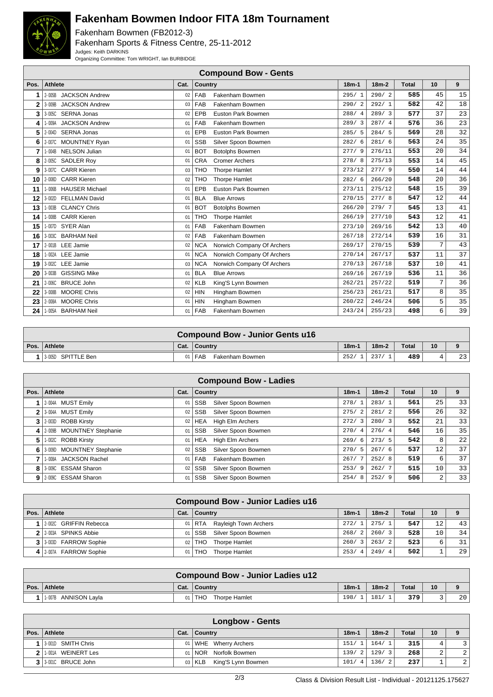

## **Fakenham Bowmen Indoor FITA 18m Tournament**

Fakenham Bowmen (FB2012-3) Fakenham Sports & Fitness Centre, 25-11-2012 Judges: Keith DARKINS Organizing Committee: Tom WRIGHT, Ian BURBIDGE

|                | <b>Compound Bow - Gents</b>         |      |                                          |         |         |              |    |    |  |  |  |
|----------------|-------------------------------------|------|------------------------------------------|---------|---------|--------------|----|----|--|--|--|
| Pos.           | <b>Athlete</b>                      | Cat. | Country                                  | $18m-1$ | $18m-2$ | <b>Total</b> | 10 | 9  |  |  |  |
|                | <b>JACKSON Andrew</b><br>$2 - 005B$ | 02   | <b>FAB</b><br>Fakenham Bowmen            | 295/1   | 290/2   | 585          | 45 | 15 |  |  |  |
| $\overline{2}$ | <b>JACKSON Andrew</b><br>3-009B     | 03   | FAB<br>Fakenham Bowmen                   | 290/2   | 292/1   | 582          | 42 | 18 |  |  |  |
| 3              | <b>SERNA Jonas</b><br>3-005C        | 02   | Euston Park Bowmen<br><b>EPB</b>         | 288/4   | 289/3   | 577          | 37 | 23 |  |  |  |
| 4              | <b>JACKSON Andrew</b><br>1-009A     | 01   | FAB<br>Fakenham Bowmen                   | 289/3   | 287/4   | 576          | 36 | 23 |  |  |  |
| 5              | 2-004D SERNA Jonas                  | 01   | <b>EPB</b><br>Euston Park Bowmen         | 285/5   | 284/5   | 569          | 28 | 32 |  |  |  |
| 6              | <b>MOUNTNEY Ryan</b><br>2-007C      | 01   | <b>SSB</b><br>Silver Spoon Bowmen        | 282/6   | 281/6   | 563          | 24 | 35 |  |  |  |
| 7              | 1-004B NELSON Julian                | 01   | <b>BOT</b><br><b>Botolphs Bowmen</b>     | 277/9   | 276/11  | 553          | 20 | 34 |  |  |  |
| 8              | 2-005C SADLER Roy                   | 01   | <b>CRA</b><br><b>Cromer Archers</b>      | 278/8   | 275/13  | 553          | 14 | 45 |  |  |  |
| 9              | <b>CARR Kieren</b><br>3-007C        | 03   | <b>THO</b><br><b>Thorpe Hamlet</b>       | 273/12  | 277/9   | 550          | 14 | 44 |  |  |  |
| 10             | <b>CARR Kieren</b><br>2-008D        | 02   | <b>THO</b><br><b>Thorpe Hamlet</b>       | 282/6   | 266/20  | 548          | 20 | 36 |  |  |  |
| 11             | <b>HAUSER Michael</b><br>1-006B     | 01   | <b>EPB</b><br>Euston Park Bowmen         | 273/11  | 275/12  | 548          | 15 | 39 |  |  |  |
| 12             | 3-002D FELLMAN David                | 01   | <b>BLA</b><br><b>Blue Arrows</b>         | 270/15  | 277/8   | 547          | 12 | 44 |  |  |  |
| 13             | <b>CLANCY Chris</b><br>1-003B       | 01   | <b>BOT</b><br><b>Botolphs Bowmen</b>     | 266/20  | 279/7   | 545          | 13 | 41 |  |  |  |
| 14             | 1-008B CARR Kieren                  | 01   | <b>THO</b><br>Thorpe Hamlet              | 266/19  | 277/10  | 543          | 12 | 41 |  |  |  |
| 15             | 1-007D SYER Alan                    | 01   | FAB<br>Fakenham Bowmen                   | 273/10  | 269/16  | 542          | 13 | 40 |  |  |  |
| 16             | 3-003C BARHAM Neil                  | 02   | FAB<br>Fakenham Bowmen                   | 267/18  | 272/14  | 539          | 16 | 31 |  |  |  |
| 17             | 2-001B LEE Jamie                    | 02   | <b>NCA</b><br>Norwich Company Of Archers | 269/17  | 270/15  | 539          | 7  | 43 |  |  |  |
| 18             | 1-002A LEE Jamie                    | 01   | <b>NCA</b><br>Norwich Company Of Archers | 270/14  | 267/17  | 537          | 11 | 37 |  |  |  |
| 19             | 3-002C LEE Jamie                    | 03   | <b>NCA</b><br>Norwich Company Of Archers | 270/13  | 267/18  | 537          | 10 | 41 |  |  |  |
| 20             | <b>GISSING Mike</b><br>3-003B       | 01   | <b>BLA</b><br><b>Blue Arrows</b>         | 269/16  | 267/19  | 536          | 11 | 36 |  |  |  |
| 21             | 2-006C BRUCE John                   | 02   | <b>KLB</b><br>King'S Lynn Bowmen         | 262/21  | 257/22  | 519          | 7  | 36 |  |  |  |
| 22             | <b>MOORE Chris</b><br>3-008B        | 02   | <b>HIN</b><br>Hingham Bowmen             | 256/23  | 261/21  | 517          | 8  | 35 |  |  |  |
| 23             | 2-008A MOORE Chris                  | 01   | <b>HIN</b><br>Hingham Bowmen             | 260/22  | 246/24  | 506          | 5  | 35 |  |  |  |
| 24             | <b>BARHAM Neil</b><br>1-005A        | 01   | FAB<br>Fakenham Bowmen                   | 243/24  | 255/23  | 498          | 6  | 39 |  |  |  |

| <b>Compound Bow - Junior Gents u16</b> |      |                          |         |         |       |    |    |  |  |
|----------------------------------------|------|--------------------------|---------|---------|-------|----|----|--|--|
| Pos. Athlete                           | Cat. | Country                  | $18m-1$ | $18m-2$ | Total | 10 |    |  |  |
| 1 3 005D SPITTLE Ben                   |      | 01   FAB Fakenham Bowmen | 252/    | 237/    | 489   |    | 23 |  |  |

|      | <b>Compound Bow - Ladies</b> |      |                                   |                       |         |       |                   |    |  |  |
|------|------------------------------|------|-----------------------------------|-----------------------|---------|-------|-------------------|----|--|--|
| Pos. | Athlete                      | Cat. | <b>Country</b>                    | $18m-1$               | $18m-2$ | Total | 10                | 9  |  |  |
|      | 2-004A MUST Emily            | 01   | <b>SSB</b><br>Silver Spoon Bowmen | 278/1                 | 283/1   | 561   | 25                | 33 |  |  |
| 2    | 3-004A MUST Emily            | 02   | Silver Spoon Bowmen<br><b>SSB</b> | 275/<br>$^{\prime}$ 2 | 281/2   | 556   | 26                | 32 |  |  |
|      | 3 2-003D ROBB Kirsty         | 02   | High Elm Archers<br><b>HEA</b>    | 272/<br>3             | 280/3   | 552   | 21                | 33 |  |  |
|      | 4 2-009B MOUNTNEY Stephanie  | 01   | <b>SSB</b><br>Silver Spoon Bowmen | 270/4                 | 276/4   | 546   | 16                | 35 |  |  |
| 5    | 1-002C ROBB Kirsty           | 01   | High Elm Archers<br>HEA           | 269/<br>ή6.           | 273/5   | 542   | 8                 | 22 |  |  |
| 6    | 3-009D MOUNTNEY Stephanie    | 02   | Silver Spoon Bowmen<br><b>SSB</b> | 270/<br>- 5           | 267/6   | 537   | $12 \overline{ }$ | 37 |  |  |
|      | 1-008A JACKSON Rachel        | 01   | Fakenham Bowmen<br><b>FAB</b>     | 267/7                 | 252/8   | 519   | 6                 | 37 |  |  |
|      | 8 3.009C ESSAM Sharon        | 02   | <b>SSB</b><br>Silver Spoon Bowmen | 253/9                 | 262/7   | 515   | 10                | 33 |  |  |
| 9    | 2-009C ESSAM Sharon          | 01   | Silver Spoon Bowmen<br><b>SSB</b> | 254/<br>8             | 252/9   | 506   | 2                 | 33 |  |  |

|          |                        |      | <b>Compound Bow - Junior Ladies u16</b> |                        |         |              |                 |    |
|----------|------------------------|------|-----------------------------------------|------------------------|---------|--------------|-----------------|----|
| Pos. $ $ | Athlete                | Cat. | <b>Country</b>                          | $18m - 1$              | $18m-2$ | <b>Total</b> | 10 <sup>1</sup> |    |
|          | 2-002C GRIFFIN Rebecca | 01   | Rayleigh Town Archers<br>l RTA          | 272/1                  | 275/1   | 547          | 12 <sup>°</sup> | 43 |
|          | 2 2-003A SPINKS Abbie  | 01   | Silver Spoon Bowmen<br>l SSB            | 268/<br>$\overline{2}$ | 260/3   | 528          | 10 <sup>°</sup> | 34 |
|          | 3 3 303D FARROW Sophie | 02   | <b>THO</b><br>Thorpe Hamlet             | 260/<br>$\mathbf{3}$   | 263/2   | 523          | 6               | 31 |
| 4 I      | 2-007A FARROW Sophie   | 01   | Thorpe Hamlet<br><b>THO</b>             | 253/<br>-4             | 249/4   | 502          |                 | 29 |

| <b>Compound Bow - Junior Ladies u12</b> |                 |                             |         |         |              |                 |                 |  |  |  |
|-----------------------------------------|-----------------|-----------------------------|---------|---------|--------------|-----------------|-----------------|--|--|--|
| Pos. Athlete                            |                 | Cat.   Country              | $18m -$ | $18m-2$ | <b>Total</b> | 10 <sup>1</sup> |                 |  |  |  |
| 1-007B ANNISON Layla                    | 01 <sup>1</sup> | <b>THO</b><br>Thorpe Hamlet | 198/    | 181/    | 379          |                 | 20 <sup>1</sup> |  |  |  |

| <b>Longbow - Gents</b> |                 |                                |         |         |              |                |                |  |  |
|------------------------|-----------------|--------------------------------|---------|---------|--------------|----------------|----------------|--|--|
| Pos. Athlete           | Cat.            | <b>Country</b>                 | $18m-1$ | $18m-2$ | <b>Total</b> | 10             |                |  |  |
| 3.001D SMITH Chris     | 01 <sub>1</sub> | WHE Wherry Archers             | 151/1   | 164/1   | 315          | 4              | $\overline{3}$ |  |  |
| 2 1.001A WEINERT Les   | 01 <sup>1</sup> | <b>NOR</b> Norfolk Bowmen      | 139/2   | 129/3   | 268          | 2 <sub>1</sub> | $\overline{2}$ |  |  |
| 3 3 3 001C BRUCE John  |                 | King'S Lynn Bowmen<br>03   KLB | 101/4   | 136/2   | 237          |                | $\overline{2}$ |  |  |